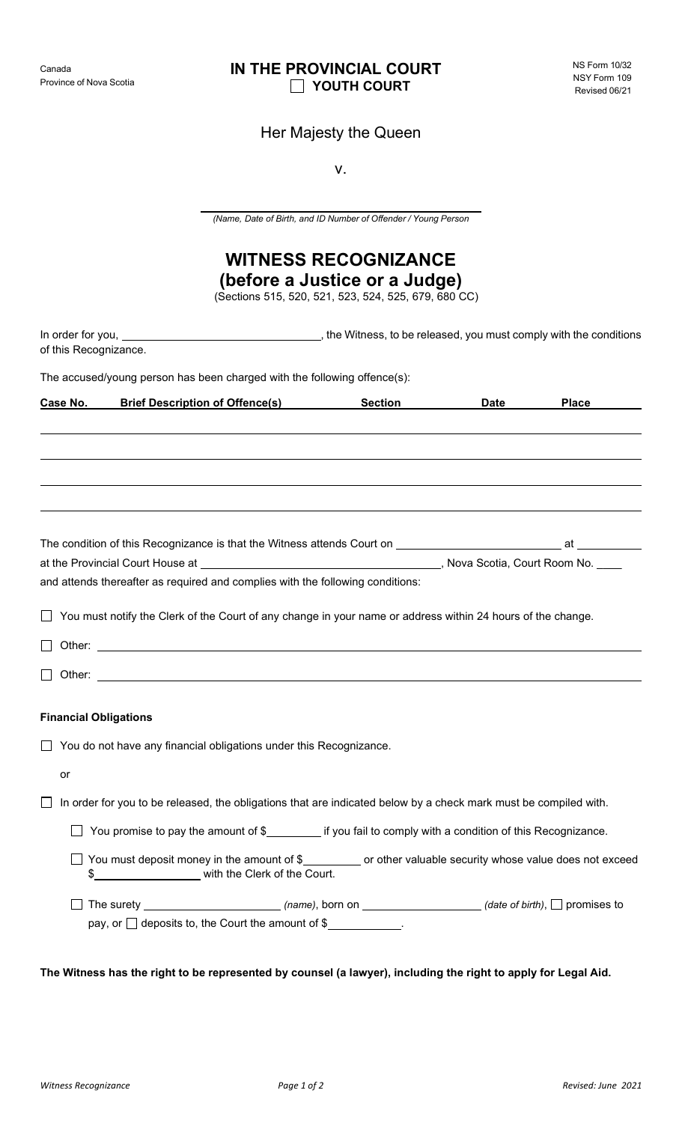## **IN THE PROVINCIAL COURT YOUTH COURT**

## Her Majesty the Queen

v.

*(Name, Date of Birth, and ID Number of Offender / Young Person*

# **WITNESS RECOGNIZANCE**

**(before a Justice or a Judge)**

(Sections 515, 520, 521, 523, 524, 525, 679, 680 CC)

| of this Recognizance.                                                    |                                                                                                                                                                                   |                |             |              |  |
|--------------------------------------------------------------------------|-----------------------------------------------------------------------------------------------------------------------------------------------------------------------------------|----------------|-------------|--------------|--|
|                                                                          |                                                                                                                                                                                   |                |             |              |  |
| The accused/young person has been charged with the following offence(s): |                                                                                                                                                                                   |                |             |              |  |
| Case No.                                                                 | <b>Brief Description of Offence(s)</b>                                                                                                                                            | <b>Section</b> | <b>Date</b> | <b>Place</b> |  |
|                                                                          |                                                                                                                                                                                   |                |             |              |  |
|                                                                          |                                                                                                                                                                                   |                |             |              |  |
|                                                                          |                                                                                                                                                                                   |                |             |              |  |
|                                                                          |                                                                                                                                                                                   |                |             |              |  |
|                                                                          |                                                                                                                                                                                   |                |             |              |  |
|                                                                          |                                                                                                                                                                                   |                |             |              |  |
|                                                                          |                                                                                                                                                                                   |                |             |              |  |
|                                                                          | and attends thereafter as required and complies with the following conditions:                                                                                                    |                |             |              |  |
|                                                                          | You must notify the Clerk of the Court of any change in your name or address within 24 hours of the change.                                                                       |                |             |              |  |
|                                                                          |                                                                                                                                                                                   |                |             |              |  |
|                                                                          |                                                                                                                                                                                   |                |             |              |  |
|                                                                          |                                                                                                                                                                                   |                |             |              |  |
| <b>Financial Obligations</b>                                             |                                                                                                                                                                                   |                |             |              |  |
|                                                                          | You do not have any financial obligations under this Recognizance.                                                                                                                |                |             |              |  |
| or                                                                       |                                                                                                                                                                                   |                |             |              |  |
|                                                                          |                                                                                                                                                                                   |                |             |              |  |
|                                                                          | In order for you to be released, the obligations that are indicated below by a check mark must be compiled with.                                                                  |                |             |              |  |
|                                                                          | You promise to pay the amount of \$_________ if you fail to comply with a condition of this Recognizance.                                                                         |                |             |              |  |
|                                                                          | You must deposit money in the amount of \$__________ or other valuable security whose value does not exceed<br>\$_________________________ with the Clerk of the Court.           |                |             |              |  |
|                                                                          | The surety ____________________________(name), born on _____________________(date of birth), $\Box$ promises to<br>pay, or $\Box$ deposits to, the Court the amount of $\$\_\_$ . |                |             |              |  |

**The Witness has the right to be represented by counsel (a lawyer), including the right to apply for Legal Aid.**